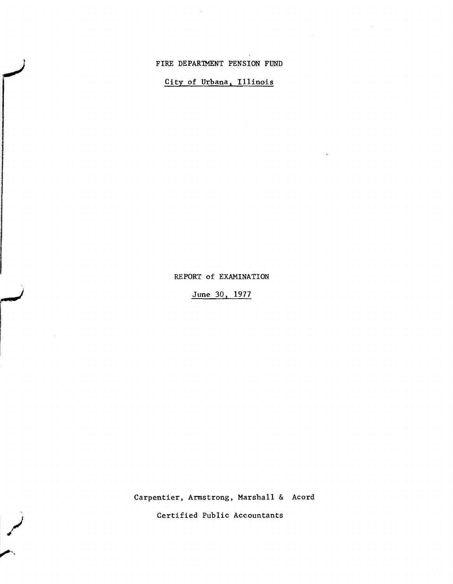## FIRE DEPARTMENT PENSION FUND

 $\ddot{\phantom{a}}$ 

## City of Urbana, Illinois

### REPORT of EXAMINATION

June 30, 1977

Carpentier, Armstrong, Marshall & Acord

Certified Public Accountants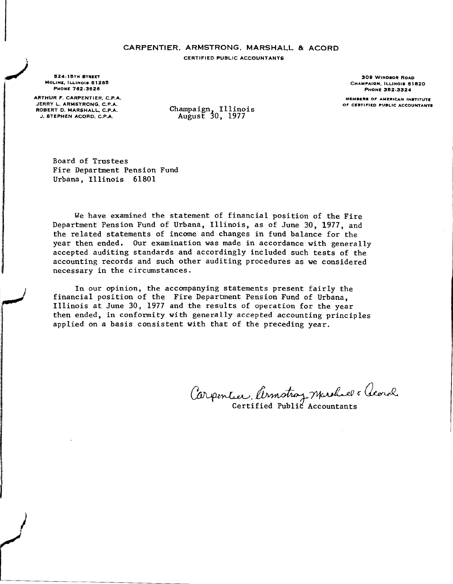# CARPENTIER, ARMSTRONG, MARSHALL & ACORD

CERTIFIED PUBLIC ACCOUNTANTS

524-15TH STREET MOLINE, ILLINOIS 61265 PHONE 762-3626

ARTHUR F. CARPENTIER. C.P.A. JERRY L. ARMSTRONG. C.P.A. ROBERT D. MARSHALL. C.P.A. J. STEPHEN ACORD. C.P.A.

)<br>|<br>| المحمد

 $\sqrt{2}$ 

Champaign, Illinois August 30, 1977

Board of Trustees Fire Department Pension Fund Urbana, Illinois 61801

We have examined the statement of financial position of the Fire Department Pension Fund of Urbana, Illinois, as of June 30, 1977, and the related statements of income and changes in fund balance for the year then ended. Our examination was made in accordance with generally accepted auditing standards and accordingly included such tests of the accounting records and such other auditing procedures as we considered necessary in the circumstances.

In our opinion, the accompanying statements present fairly the financial position of the Fire Department Pension Fund of Urbana, Illinois at June 30, 1977 and the results of operation for the year then ended, in conformity with generally accepted accounting principles applied on a basis consistent with that of the preceding year.

Carpentier, Cernstroy marshall & Geord  $C^{\infty}$ Certified Public Accountants

309 WINDSOR ROAD CHAMPAIGN, ILLINOIS 61820 PHONE 382·3324

**Ma,..••,..** O~ **AMRAICAN INSTITUTa'** OF CERTIFIED PUBLIC ACCOUNTANTS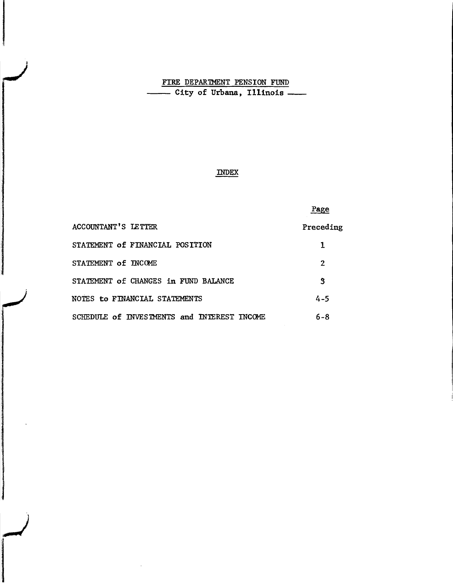## FIRE DEPARTMENT PENSION FUND ------ City of Urbana, Illinois \_

## INDEX

## Page

| <b>ACCOUNTANT'S LETTER</b>                  | Preceding |
|---------------------------------------------|-----------|
| STATEMENT of FINANCIAL POSITION             |           |
| STATEMENT of INCOME                         | 2         |
| STATEMENT of CHANGES in FUND BALANCE        | 3         |
| NOTES to FINANCIAL STATEMENTS               | $4 - 5$   |
| SCHEDULE of INVESTMENTS and INTEREST INCOME | 6-8       |

*<u>Albrewin</u>*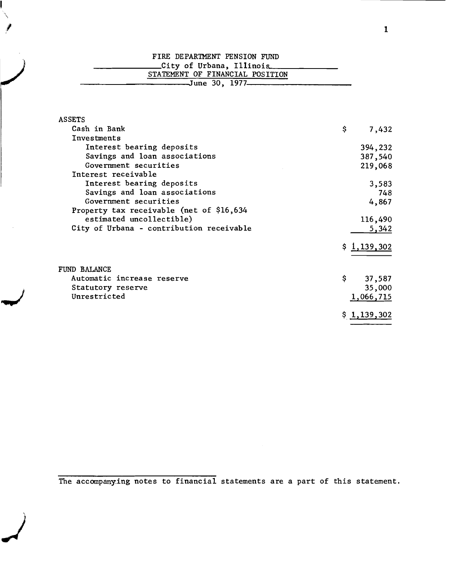| FIRE DEPARTMENT PENSION FUND       |
|------------------------------------|
| _City of Urbana, Illinois___       |
| STATEMENT OF FINANCIAL POSITION    |
| _______June 30, 1977______________ |
|                                    |

| <b>ASSETS</b>                            |             |         |
|------------------------------------------|-------------|---------|
| Cash in Bank                             | \$          | 7,432   |
| Investments                              |             |         |
| Interest bearing deposits                |             | 394,232 |
| Savings and loan associations            |             | 387,540 |
| Government securities                    |             | 219,068 |
| Interest receivable                      |             |         |
| Interest bearing deposits                |             | 3,583   |
| Savings and loan associations            |             | 748     |
| Government securities                    |             | 4,867   |
| Property tax receivable (net of \$16,634 |             |         |
| estimated uncollectible)                 |             | 116,490 |
| City of Urbana - contribution receivable |             | 5,342   |
|                                          | \$1,139,302 |         |
| FUND BALANCE                             |             |         |
| Automatic increase reserve               | \$.         | 37,587  |
| Statutory reserve                        |             | 35,000  |
| Unrestricted                             | 1,066,715   |         |
|                                          | \$1,139,302 |         |

The accompanying notes to financial statements are a part of this statement .

.J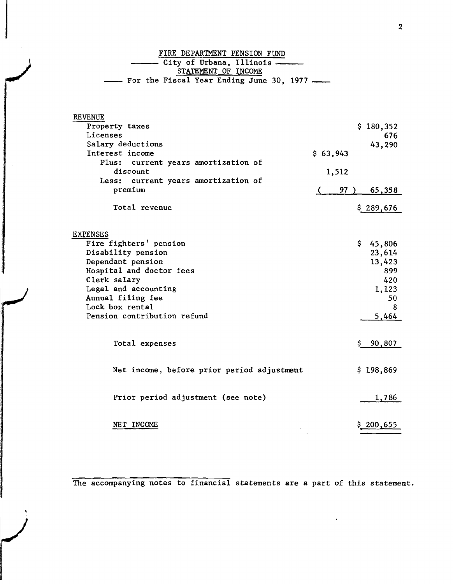FIRE DEPARTMENT PENSION FUND City of Urbana. Illinois --- STATEMENT OF INCOME  $-$  For the Fiscal Year Ending June 30, 1977  $-$ 

| <b>REVENUE</b>                                    |               |     |
|---------------------------------------------------|---------------|-----|
| Property taxes                                    | \$180,352     |     |
| Licenses                                          |               | 676 |
| Salary deductions                                 | 43,290        |     |
| Interest income                                   | \$63,943      |     |
| Plus:<br>current years amortization of            |               |     |
| discount                                          | 1,512         |     |
| current years amortization of<br>Less:<br>premium | 97            |     |
|                                                   | 65,358        |     |
| Total revenue                                     | \$289,676     |     |
|                                                   |               |     |
|                                                   |               |     |
| <b>EXPENSES</b>                                   |               |     |
| Fire fighters' pension                            | \$.<br>45,806 |     |
| Disability pension                                | 23,614        |     |
| Dependant pension                                 | 13,423        |     |
| Hospital and doctor fees                          |               | 899 |
| Clerk salary                                      |               | 420 |
| Legal and accounting                              | 1,123         |     |
| Annual filing fee                                 |               | 50  |
| Lock box rental                                   |               | 8   |
| Pension contribution refund                       | 5,464         |     |
|                                                   |               |     |
| Total expenses                                    | 90,807        |     |
|                                                   |               |     |
|                                                   |               |     |
| Net income, before prior period adjustment        | \$198,869     |     |
|                                                   |               |     |
|                                                   |               |     |
| Prior period adjustment (see note)                | 1,786         |     |
|                                                   |               |     |
|                                                   |               |     |
| NET INCOME                                        | $\S 200,655$  |     |

The accompanying notes to financial statements are a part of this statement.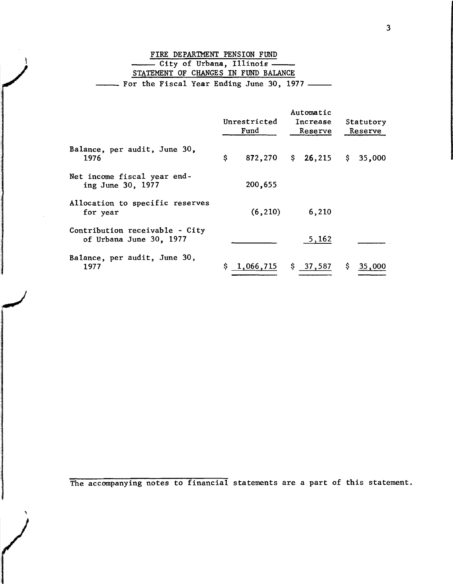|  |  | FIRE DEPARTMENT PENSION FUND               |  |  |
|--|--|--------------------------------------------|--|--|
|  |  | - City of Urbana, Illinois -               |  |  |
|  |  | STATEMENT OF CHANGES IN FUND BALANCE       |  |  |
|  |  | - For the Fiscal Year Ending June 30, 1977 |  |  |

|                                                           | Unrestricted<br>Fund |                        | Automatic<br>Increase<br>Reserve |          | Statutory<br>Reserve |          |
|-----------------------------------------------------------|----------------------|------------------------|----------------------------------|----------|----------------------|----------|
| Balance, per audit, June 30,<br>1976                      | \$                   | 872,270                |                                  | \$26,215 |                      | \$35,000 |
| Net income fiscal year end-<br>ing June 30, 1977          |                      | 200,655                |                                  |          |                      |          |
| Allocation to specific reserves<br>for year               |                      | (6, 210)               |                                  | 6,210    |                      |          |
| Contribution receivable - City<br>of Urbana June 30, 1977 |                      |                        |                                  | 5,162    |                      |          |
| Balance, per audit, June 30,<br>1977                      |                      | $$1,066,715$ $$37,587$ |                                  |          | Ş.                   | 35,000   |

The accompanying notes to financial statements are a part of this statement.

,

**ARRENTAGE**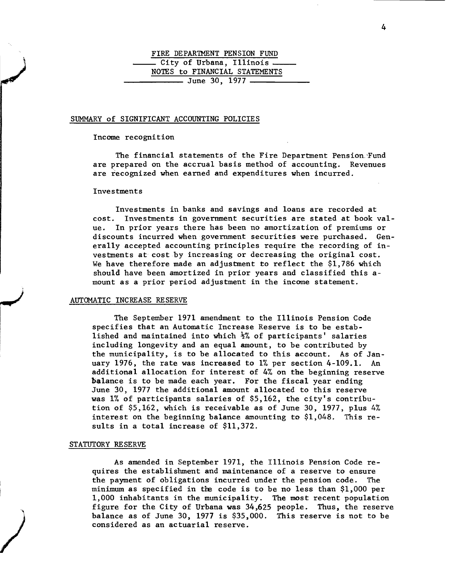# FIRE DEPARTMENT PENSION FUND City of Urbana, Illinois \_ NOTES to FINANCIAL STATEMENTS June 30, <sup>1977</sup> -----\_\_

#### SUMMARY of SIGNIFICANT ACCOUNTING POLICIES

#### Income recognition

The financial statements of the Fire Department Pension. Fund are prepared on the accrual basis method of accounting. Revenues are recognized when earned and expenditures when incurred.

#### Investments

Investments in banks and savings and loans are recorded at cost. Investments in government securities are stated at book value. In prior years there has been no amortization of premiums or discounts incurred when government securities were purchased. Generally accepted accounting principles require the recording of investments at cost by increasing or decreasing the original cost. We have therefore made an adjustment to reflect the \$1,786 which should have been amortized in prior years and classified this amount as a prior period adjustment in the income statement.

#### AUTOMATIC INCREASE RESERVE

The September 1971 amendment to the Illinois Pension Code specifies that an Automatic Increase Reserve is to be established and maintained into which  $\frac{1}{2}$  of participants' salaries including longevity and an equal amount, to be contributed by the municipality, is to be allocated to this account. As of January 1976, the rate was increased to 1% per section 4-109.1. An additional allocation for interest of 4% on the beginning reserve balance is to be made each year. For the fiscal year ending June 30, 1977 the additional amount allocated to this reserve was 1% of participants salaries of \$5,162, the city's contribution of \$5,162, which is receivable as of June 30, 1977, plus 4% interest on the beginning balance amounting to \$1,048. This results in a total increase of \$11,372.

#### STATUTORY RESERVE

I

)

As amended in September 1971, the Illinois Pension Code requires the establishment and maintenance of a reserve to ensure the payment of obligations incurred under the pension code. The minimum as specified in the code is to be no less than  $$1,000$  per 1,000 inhabitants in the municipality. The most recent population figure for the City of Urbana was 34,625 people. Thus, the reserve balance as of June 30, 1977 is \$35,000. This reserve is not to be considered as an actuarial reserve.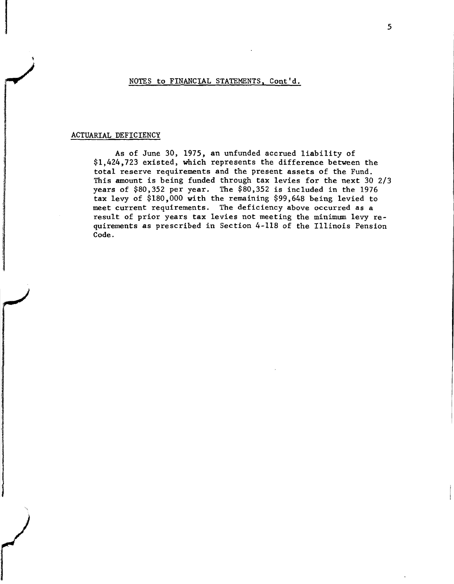#### NOTES to FINANCIAL STATEMENTS, Cont'd.

### ACTUARIAL DEFICIENCY

**International Account Construction** 

)<br>)<br>)<br>)

r

As of June 30, 1975, an unfunded accrued liability of \$1,424,723 existed, which represents the difference between the total reserve requirements and the present assets of the Fund. This amount is being funded through tax levies for the next 30 2/3 years of \$80,352 per year. The \$80,352 is included in the 1976 tax levy of \$180,000 with the remaining \$99,648 being levied to meet current requirements. The deficiency above occurred as a result of prior years tax levies not meeting the minimum levy requirements as prescribed in Section 4-118 of the Illinois Pension Code.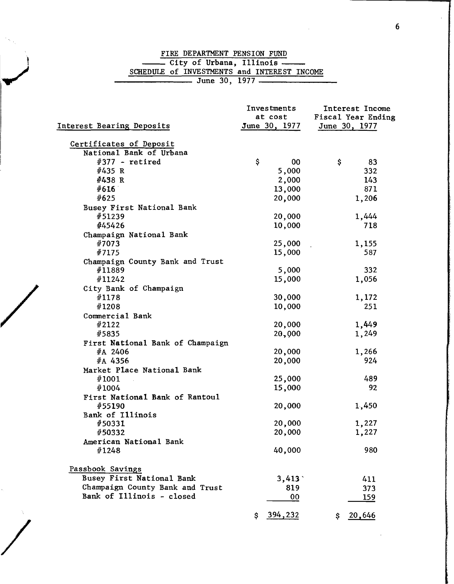# FIRE DEPARTMENT PENSION FUND ------ City of Urbana. I11inois------ SCHEDULE of INVESTMENTS and INTEREST INCOME

|                                  | Investments<br>at cost | Interest Income<br>Fiscal Year Ending |
|----------------------------------|------------------------|---------------------------------------|
| Interest Bearing Deposits        | June 30, 1977          | June 30, 1977                         |
| Certificates of Deposit          |                        |                                       |
| National Bank of Urbana          |                        |                                       |
| $#377$ - retired                 | \$<br>00               | \$<br>83                              |
| #435 R                           | 5,000                  | 332                                   |
| #438 R                           | 2,000                  | 143                                   |
| #616                             | 13,000                 | 871                                   |
| #625                             | 20,000                 | 1,206                                 |
| Busey First National Bank        |                        |                                       |
| #51239                           | 20,000                 | 1,444                                 |
| #45426                           | 10,000                 | 718                                   |
| Champaign National Bank          |                        |                                       |
| #7073                            | 25,000                 | 1,155                                 |
| #7175                            | 15,000                 | 587                                   |
| Champaign County Bank and Trust  |                        |                                       |
| #11889                           | 5,000                  | 332                                   |
| #11242                           | 15,000                 | 1,056                                 |
| City Bank of Champaign           |                        |                                       |
| #1178                            | 30,000                 | 1,172                                 |
| #1208                            | 10,000                 | 251                                   |
| Commercial Bank                  |                        |                                       |
| #2122                            | 20,000                 | 1,449                                 |
| #5835                            | 20,000                 | 1,249                                 |
|                                  |                        |                                       |
| First National Bank of Champaign |                        |                                       |
| #A 2406                          | 20,000                 | 1,266                                 |
| #A 4356                          | 20,000                 | 924                                   |
| Market Place National Bank       |                        |                                       |
| #1001                            | 25,000                 | 489                                   |
| #1004                            | 15,000                 | 92                                    |
| First National Bank of Rantoul   |                        |                                       |
| #55190                           | 20,000                 | 1,450                                 |
| Bank of Illinois                 |                        |                                       |
| #50331                           | 20,000                 | 1,227                                 |
| #50332                           | 20,000                 | 1,227                                 |
| American National Bank           |                        |                                       |
| #1248                            | 40,000                 | 980                                   |
| Passbook Savings                 |                        |                                       |
| <b>Busey First National Bank</b> | 3,413                  | 411                                   |
| Champaign County Bank and Trust  | 819                    | 373                                   |
| Bank of Illinois - closed        | 00                     | 159                                   |
|                                  | 394,232<br>\$          | 20,646<br>\$                          |

/

/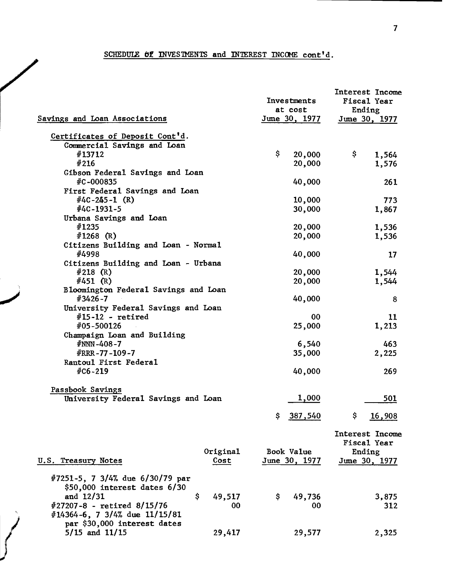## SCHEDULE  $\theta$  **E** INVESTMENTS and INTEREST INCOME cont'd.

/

|                                      |              |     | Investments<br>at cost | Interest Income<br><b>Fiscal Year</b><br>Ending |
|--------------------------------------|--------------|-----|------------------------|-------------------------------------------------|
| Savings and Loan Associations        |              |     | <u>June 30, 1977</u>   | June 30, 1977                                   |
| Certificates of Deposit Cont'd.      |              |     |                        |                                                 |
| Commercial Savings and Loan          |              |     |                        |                                                 |
| #13712                               |              | \$  | 20,000                 | \$<br>1,564                                     |
| #216                                 |              |     | 20,000                 | 1,576                                           |
| Gibson Federal Savings and Loan      |              |     |                        |                                                 |
| #C-000835                            |              |     | 40,000                 | 261                                             |
| First Federal Savings and Loan       |              |     |                        |                                                 |
| $#4C - 245 - 1$ (R)                  |              |     | 10,000                 | 773                                             |
| $#4C-1931-5$                         |              |     | 30,000                 | 1,867                                           |
| Urbana Savings and Loan              |              |     |                        |                                                 |
| #1235                                |              |     | 20,000                 | 1,536                                           |
| #1268 $(R)$                          |              |     | 20,000                 | 1,536                                           |
| Citizens Building and Loan - Normal  |              |     |                        |                                                 |
| #4998                                |              |     | 40,000                 | 17                                              |
| Citizens Building and Loan - Urbana  |              |     |                        |                                                 |
| #218 $(R)$                           |              |     | 20,000                 | 1,544                                           |
| $\#451$ (R)                          |              |     | 20,000                 | 1,544                                           |
| Bloomington Federal Savings and Loan |              |     |                        |                                                 |
| #3426-7                              |              |     | 40,000                 | 8                                               |
| University Federal Savings and Loan  |              |     |                        |                                                 |
| $#15-12$ - retired                   |              |     | 00                     | 11                                              |
| #05-500126                           |              |     | 25,000                 | 1,213                                           |
| Champaign Loan and Building          |              |     |                        |                                                 |
| $#NNN - 408 - 7$<br>#RRR-77-109-7    |              |     | 6,540                  | 463                                             |
| Rantoul First Federal                |              |     | 35,000                 | 2,225                                           |
| $#C6 - 219$                          |              |     | 40,000                 | 269                                             |
|                                      |              |     |                        |                                                 |
| Passbook Savings                     |              |     |                        |                                                 |
| University Federal Savings and Loan  |              |     | 1,000                  | 501                                             |
|                                      |              |     |                        |                                                 |
|                                      |              | \$. | 387,540                | \$<br>16,908                                    |
|                                      |              |     |                        | Interest Income                                 |
|                                      |              |     |                        | Fiscal Year                                     |
|                                      | Original     |     | Book Value             | Ending                                          |
| U.S. Treasury Notes                  | Cost         |     | June 30, 1977          | June 30, 1977                                   |
|                                      |              |     |                        |                                                 |
| #7251-5, 7 3/4% due 6/30/79 par      |              |     |                        |                                                 |
| $$50,000$ interest dates $6/30$      |              |     |                        |                                                 |
| and 12/31                            | \$<br>49,517 | Ş.  | 49,736                 | 3,875                                           |
| #27207-8 - retired 8/15/76           | 00           |     | 00                     | 312                                             |
| #14364-6, 7 3/4% due 11/15/81        |              |     |                        |                                                 |
| par \$30,000 interest dates          |              |     |                        |                                                 |
| $5/15$ and $11/15$                   | 29,417       |     | 29,577                 | 2,325                                           |